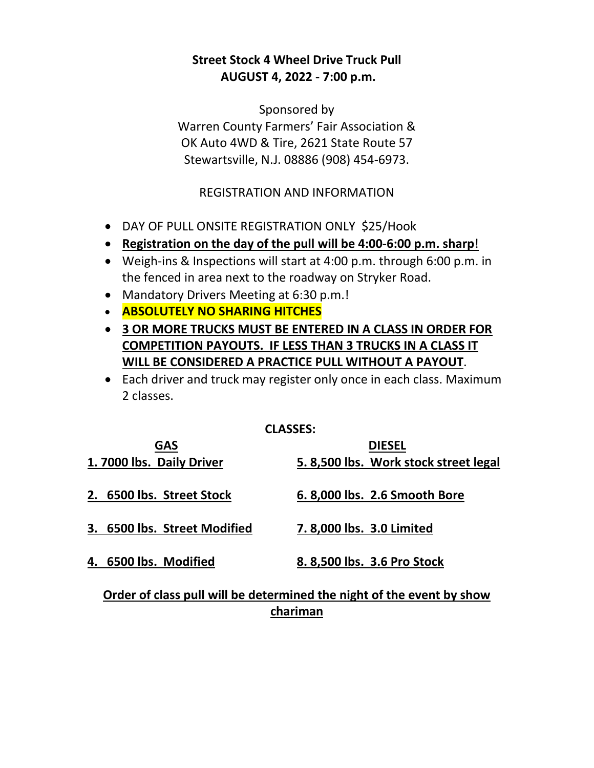# **Street Stock 4 Wheel Drive Truck Pull AUGUST 4, 2022 - 7:00 p.m.**

Sponsored by Warren County Farmers' Fair Association & OK Auto 4WD & Tire, 2621 State Route 57 Stewartsville, N.J. 08886 (908) 454-6973.

## REGISTRATION AND INFORMATION

- DAY OF PULL ONSITE REGISTRATION ONLY \$25/Hook
- **Registration on the day of the pull will be 4:00-6:00 p.m. sharp**!
- Weigh-ins & Inspections will start at 4:00 p.m. through 6:00 p.m. in the fenced in area next to the roadway on Stryker Road.
- Mandatory Drivers Meeting at 6:30 p.m.!
- **ABSOLUTELY NO SHARING HITCHES**
- **3 OR MORE TRUCKS MUST BE ENTERED IN A CLASS IN ORDER FOR COMPETITION PAYOUTS. IF LESS THAN 3 TRUCKS IN A CLASS IT WILL BE CONSIDERED A PRACTICE PULL WITHOUT A PAYOUT**.
- Each driver and truck may register only once in each class. Maximum 2 classes.

### **CLASSES:**

| <b>GAS</b>                                                                                                    | <b>DIESEL</b>                        |
|---------------------------------------------------------------------------------------------------------------|--------------------------------------|
| 1.7000 lbs. Daily Driver                                                                                      | 5.8,500 lbs. Work stock street legal |
| 2. 6500 lbs. Street Stock                                                                                     | 6.8,000 lbs. 2.6 Smooth Bore         |
| 3. 6500 lbs. Street Modified                                                                                  | 7.8,000 lbs. 3.0 Limited             |
| 4. 6500 lbs. Modified                                                                                         | 8.8,500 lbs. 3.6 Pro Stock           |
| وينتج والمستحقق والمستحدث والقائم والمتاريخ والقارات والمتاريخ والمستحققات المتناسب والمتألف والمستحا والمناق |                                      |

# **Order of class pull will be determined the night of the event by show chariman**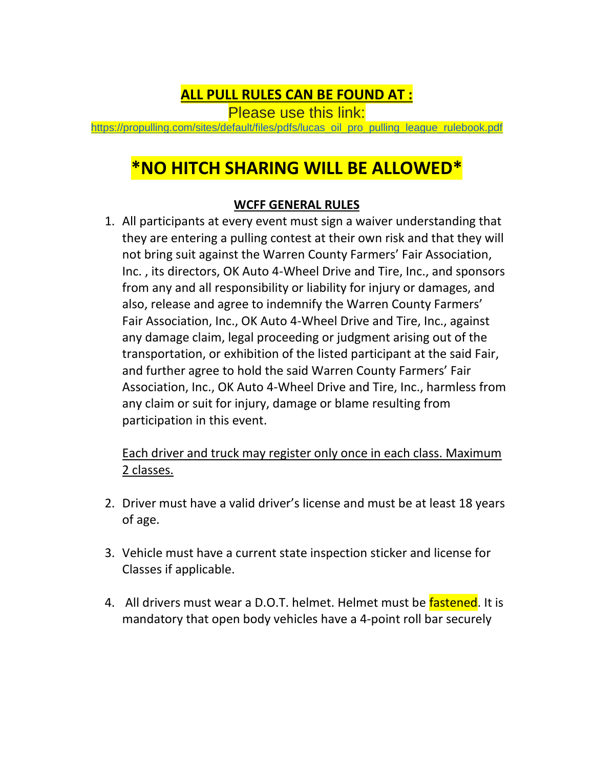# **ALL PULL RULES CAN BE FOUND AT :**

Please use this link:

[https://propulling.com/sites/default/files/pdfs/lucas\\_oil\\_pro\\_pulling\\_league\\_rulebook.pdf](https://propulling.com/sites/default/files/pdfs/lucas_oil_pro_pulling_league_rulebook.pdf)

# **\*NO HITCH SHARING WILL BE ALLOWED\***

## **WCFF GENERAL RULES**

1. All participants at every event must sign a waiver understanding that they are entering a pulling contest at their own risk and that they will not bring suit against the Warren County Farmers' Fair Association, Inc. , its directors, OK Auto 4-Wheel Drive and Tire, Inc., and sponsors from any and all responsibility or liability for injury or damages, and also, release and agree to indemnify the Warren County Farmers' Fair Association, Inc., OK Auto 4-Wheel Drive and Tire, Inc., against any damage claim, legal proceeding or judgment arising out of the transportation, or exhibition of the listed participant at the said Fair, and further agree to hold the said Warren County Farmers' Fair Association, Inc., OK Auto 4-Wheel Drive and Tire, Inc., harmless from any claim or suit for injury, damage or blame resulting from participation in this event.

Each driver and truck may register only once in each class. Maximum 2 classes.

- 2. Driver must have a valid driver's license and must be at least 18 years of age.
- 3. Vehicle must have a current state inspection sticker and license for Classes if applicable.
- 4. All drivers must wear a D.O.T. helmet. Helmet must be fastened. It is mandatory that open body vehicles have a 4-point roll bar securely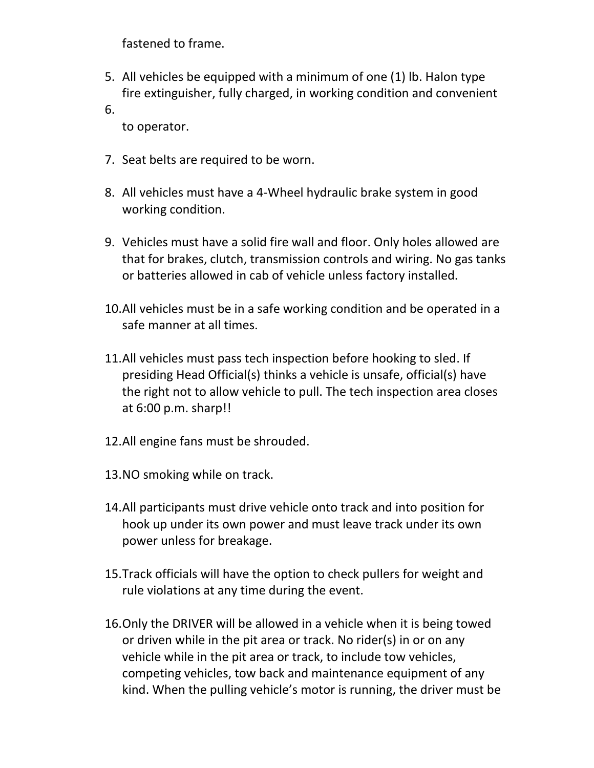fastened to frame.

- 5. All vehicles be equipped with a minimum of one (1) lb. Halon type fire extinguisher, fully charged, in working condition and convenient
- 6.

to operator.

- 7. Seat belts are required to be worn.
- 8. All vehicles must have a 4-Wheel hydraulic brake system in good working condition.
- 9. Vehicles must have a solid fire wall and floor. Only holes allowed are that for brakes, clutch, transmission controls and wiring. No gas tanks or batteries allowed in cab of vehicle unless factory installed.
- 10.All vehicles must be in a safe working condition and be operated in a safe manner at all times.
- 11.All vehicles must pass tech inspection before hooking to sled. If presiding Head Official(s) thinks a vehicle is unsafe, official(s) have the right not to allow vehicle to pull. The tech inspection area closes at 6:00 p.m. sharp!!
- 12.All engine fans must be shrouded.
- 13.NO smoking while on track.
- 14.All participants must drive vehicle onto track and into position for hook up under its own power and must leave track under its own power unless for breakage.
- 15.Track officials will have the option to check pullers for weight and rule violations at any time during the event.
- 16.Only the DRIVER will be allowed in a vehicle when it is being towed or driven while in the pit area or track. No rider(s) in or on any vehicle while in the pit area or track, to include tow vehicles, competing vehicles, tow back and maintenance equipment of any kind. When the pulling vehicle's motor is running, the driver must be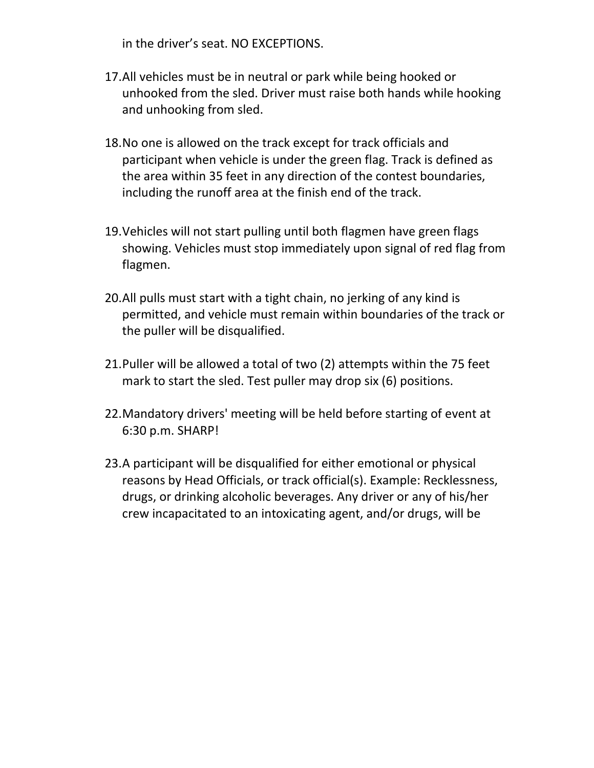in the driver's seat. NO EXCEPTIONS.

- 17.All vehicles must be in neutral or park while being hooked or unhooked from the sled. Driver must raise both hands while hooking and unhooking from sled.
- 18.No one is allowed on the track except for track officials and participant when vehicle is under the green flag. Track is defined as the area within 35 feet in any direction of the contest boundaries, including the runoff area at the finish end of the track.
- 19.Vehicles will not start pulling until both flagmen have green flags showing. Vehicles must stop immediately upon signal of red flag from flagmen.
- 20.All pulls must start with a tight chain, no jerking of any kind is permitted, and vehicle must remain within boundaries of the track or the puller will be disqualified.
- 21.Puller will be allowed a total of two (2) attempts within the 75 feet mark to start the sled. Test puller may drop six (6) positions.
- 22.Mandatory drivers' meeting will be held before starting of event at 6:30 p.m. SHARP!
- 23.A participant will be disqualified for either emotional or physical reasons by Head Officials, or track official(s). Example: Recklessness, drugs, or drinking alcoholic beverages. Any driver or any of his/her crew incapacitated to an intoxicating agent, and/or drugs, will be